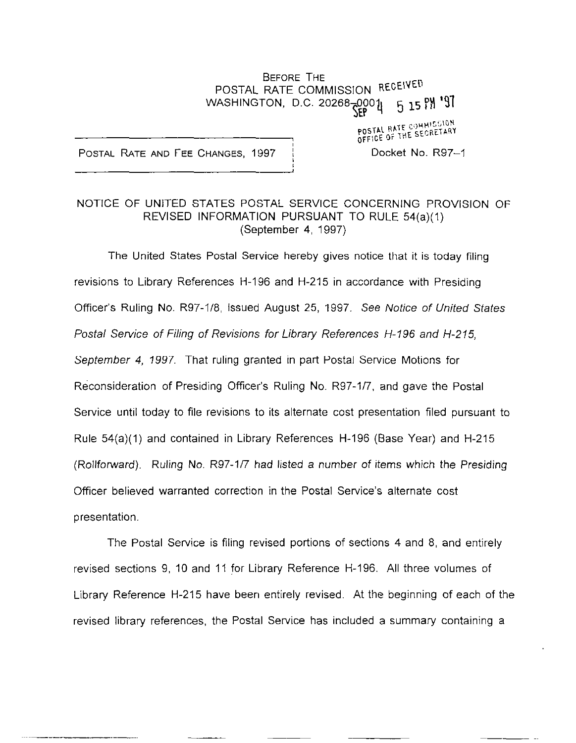## BEFORE THE POSTAL RATE COMMISSION RECEIVED<br>ASHINGTON, D.C. 20268-0001 F 15 PM 197 WASHINGTON, D.C. 20268-0001

POSTAL RATE AND FEE CHANGES, 1997 | Docket No. R97-1

POSTAL RATE COMMISSION OFFICE OF THE SECRETARY

## NOTICE OF UNITED STATES POSTAL SERVICE CONCERNING PROVISION OF REVISED INFORMATION PURSUANT TO RULE 54(a)(1) (September 4, 1997)

The United States Postal Service hereby gives notice that it is today filing revisions to Library References H-196 and H-215 in accordance with Presiding Officer's Ruling No. R97-l/8, issued August 25, 1997. See Notice of United States Postal Service of Filing of Revisions for Library References H-196 and H-215, September 4, 7997. That ruling granted in part Postal Service Motions for Reconsideration of Presiding Officer's Ruling No. R97-l/7, and gave the Postal Service until today to file revisions to its alternate cost presentation filed pursuant to Rule 54(a)(l) and contained in Library References H-196 (Base Year) and H-215 (Rollforward). Ruling No. R97-l/7 had listed a number of items which the Presiding Officer believed warranted correction in the Postal Service's alternate cost presentation.

The Postal Service is filing revised portions of sections 4 and 8, and entirely revised sections 9, 10 and 11 for Library Reference H-196. All three volumes of Library Reference H-215 have been entirely revised. At the beginning of each of the revised library references, the Postal Service has included a summary containing a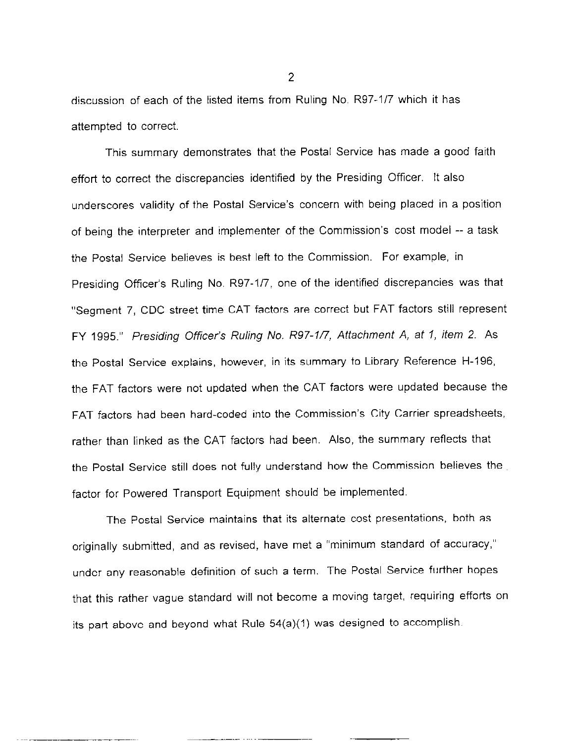discussion of each of the listed items from Ruling No. R97-1/7 which it has attempted to correct.

This summary demonstrates that the Postal Service has made a good faith effort to correct the discrepancies identified by the Presiding Officer. It also underscores validity of the Postal Service's concern with being placed in a position of being the interpreter and implementer of the Commission's cost model -- a task the Postal Service believes is best left to the Commission. For example, in Presiding Officer's Ruling No. R97-1/7, one of the identified discrepancies was that "Segment 7, CDC street time CAT factors are correct but FAT factors still represent FY 1995." Presiding Officer's Ruling No. R97-1/7, Attachment A, at 1, item 2. As the Postal Service explains, however, in its summary to Library Reference H-196, the FAT factors were not updated when the CAT factors were updated because the FAT factors had been hard-coded into the Commission's City Carrier spreadsheets, rather than linked as the CAT factors had been. Also, the summary reflects that the Postal Service still does not fully understand how the Commission believes the factor for Powered Transport Equipment should be implemented.

The Postal Service maintains that its alternate cost presentations, both as originally submitted, and as revised, have met a "minimum standard of accuracy," under any reasonable definition of such a term. The Postal Service further hopes that this rather vague standard will not become a moving target, requiring efforts on its part above and beyond what Rule 54(a)(1) was designed to accomplish.

 $\mathcal{P}$